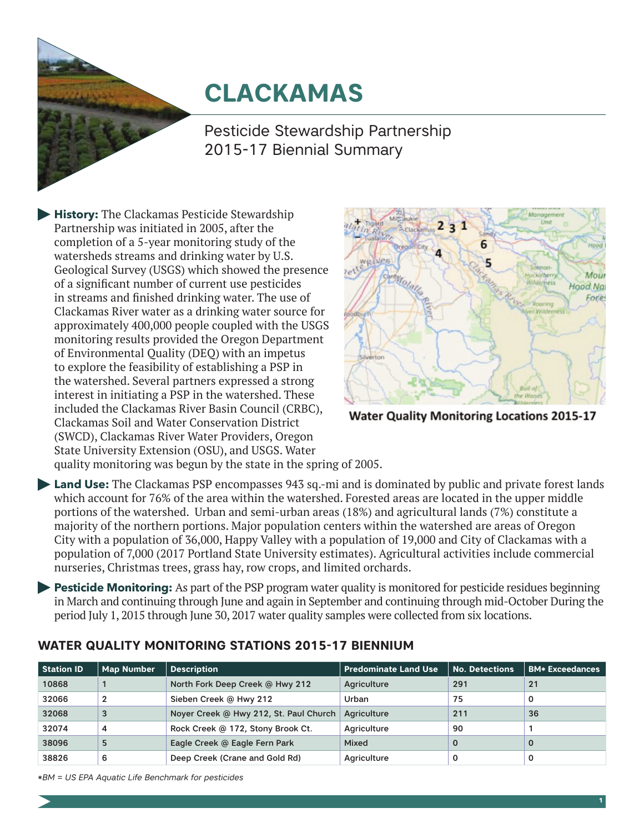# **CLACKAMAS**

Pesticide Stewardship Partnership 2015-17 Biennial Summary

**History:** The Clackamas Pesticide Stewardship Partnership was initiated in 2005, after the completion of a 5-year monitoring study of the watersheds streams and drinking water by U.S. Geological Survey (USGS) which showed the presence of a significant number of current use pesticides in streams and finished drinking water. The use of Clackamas River water as a drinking water source for approximately 400,000 people coupled with the USGS monitoring results provided the Oregon Department of Environmental Quality (DEQ) with an impetus to explore the feasibility of establishing a PSP in the watershed. Several partners expressed a strong interest in initiating a PSP in the watershed. These included the Clackamas River Basin Council (CRBC), Clackamas Soil and Water Conservation District (SWCD), Clackamas River Water Providers, Oregon State University Extension (OSU), and USGS. Water



**Water Quality Monitoring Locations 2015-17** 

quality monitoring was begun by the state in the spring of 2005.

**Land Use:** The Clackamas PSP encompasses 943 sq.-mi and is dominated by public and private forest lands which account for 76% of the area within the watershed. Forested areas are located in the upper middle portions of the watershed. Urban and semi-urban areas (18%) and agricultural lands (7%) constitute a majority of the northern portions. Major population centers within the watershed are areas of Oregon City with a population of 36,000, Happy Valley with a population of 19,000 and City of Clackamas with a population of 7,000 (2017 Portland State University estimates). Agricultural activities include commercial nurseries, Christmas trees, grass hay, row crops, and limited orchards.

**Pesticide Monitoring:** As part of the PSP program water quality is monitored for pesticide residues beginning in March and continuing through June and again in September and continuing through mid-October During the period July 1, 2015 through June 30, 2017 water quality samples were collected from six locations.

| <b>Station ID</b> | <b>Map Number</b> | <b>Description</b>                     | <b>Predominate Land Use</b> | <b>No. Detections</b> | <b>BM* Exceedances</b> |
|-------------------|-------------------|----------------------------------------|-----------------------------|-----------------------|------------------------|
| 10868             |                   | North Fork Deep Creek @ Hwy 212        | Agriculture                 | 291                   | 21                     |
| 32066             | $\overline{2}$    | Sieben Creek @ Hwy 212                 | Urban                       | 75                    | 0                      |
| 32068             | 3                 | Noyer Creek @ Hwy 212, St. Paul Church | Agriculture                 | 211                   | 36                     |
| 32074             | 4                 | Rock Creek @ 172, Stony Brook Ct.      | Agriculture                 | 90                    |                        |
| 38096             | 5                 | Eagle Creek @ Eagle Fern Park          | Mixed                       | $\Omega$              | $\mathbf 0$            |
| 38826             | 6                 | Deep Creek (Crane and Gold Rd)         | Agriculture                 |                       |                        |

# **WATER QUALITY MONITORING STATIONS 2015-17 BIENNIUM**

*\*BM = US EPA Aquatic Life Benchmark for pesticides*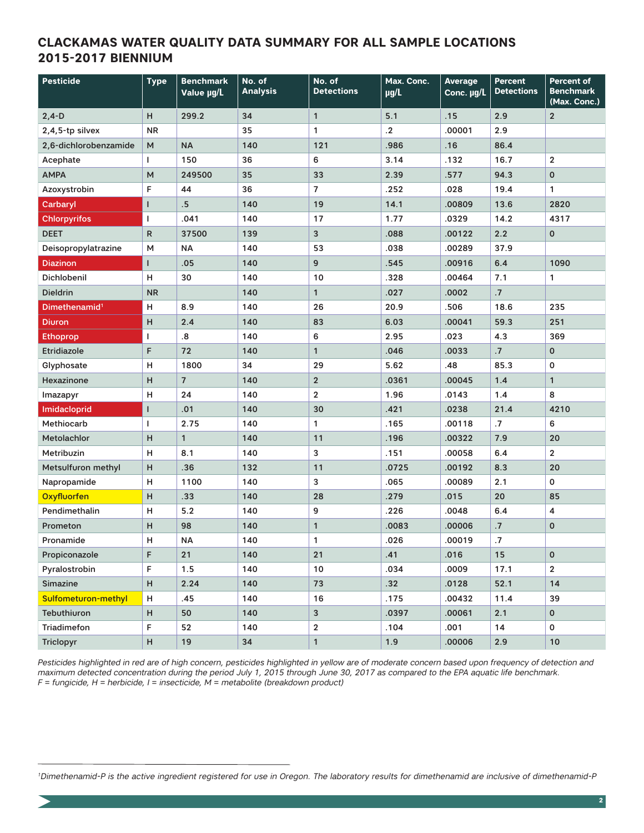#### **CLACKAMAS WATER QUALITY DATA SUMMARY FOR ALL SAMPLE LOCATIONS 2015-2017 BIENNIUM**

| <b>Pesticide</b>          | <b>Type</b> | <b>Benchmark</b><br>Value µg/L | No. of<br><b>Analysis</b> | No. of<br><b>Detections</b> | Max. Conc.<br>$\mu$ g/L | <b>Average</b><br>Conc. µg/L | <b>Percent</b><br><b>Detections</b> | <b>Percent of</b><br><b>Benchmark</b><br>(Max. Conc.) |
|---------------------------|-------------|--------------------------------|---------------------------|-----------------------------|-------------------------|------------------------------|-------------------------------------|-------------------------------------------------------|
| $2,4-D$                   | H.          | 299.2                          | 34                        | $\mathbf{1}$                | 5.1                     | .15                          | 2.9                                 | $\overline{2}$                                        |
| 2,4,5-tp silvex           | <b>NR</b>   |                                | 35                        | 1                           | $\cdot$                 | .00001                       | 2.9                                 |                                                       |
| 2,6-dichlorobenzamide     | м           | <b>NA</b>                      | 140                       | 121                         | .986                    | .16                          | 86.4                                |                                                       |
| Acephate                  | T           | 150                            | 36                        | 6                           | 3.14                    | .132                         | 16.7                                | $\overline{2}$                                        |
| <b>AMPA</b>               | M           | 249500                         | 35                        | 33                          | 2.39                    | .577                         | 94.3                                | $\mathbf 0$                                           |
| Azoxystrobin              | F           | 44                             | 36                        | $\overline{7}$              | .252                    | .028                         | 19.4                                | 1                                                     |
| Carbaryl                  | ı           | $.5\,$                         | 140                       | 19                          | 14.1                    | .00809                       | 13.6                                | 2820                                                  |
| <b>Chlorpyrifos</b>       | T           | .041                           | 140                       | 17                          | 1.77                    | .0329                        | 14.2                                | 4317                                                  |
| <b>DEET</b>               | R           | 37500                          | 139                       | 3                           | .088                    | .00122                       | 2.2                                 | $\mathbf 0$                                           |
| Deisopropylatrazine       | М           | NA                             | 140                       | 53                          | .038                    | .00289                       | 37.9                                |                                                       |
| <b>Diazinon</b>           | L           | .05                            | 140                       | 9                           | .545                    | .00916                       | 6.4                                 | 1090                                                  |
| <b>Dichlobenil</b>        | н           | 30                             | 140                       | 10                          | .328                    | .00464                       | 7.1                                 | 1                                                     |
| <b>Dieldrin</b>           | <b>NR</b>   |                                | 140                       | $\mathbf{1}$                | .027                    | .0002                        | .7                                  |                                                       |
| Dimethenamid <sup>1</sup> | н           | 8.9                            | 140                       | 26                          | 20.9                    | .506                         | 18.6                                | 235                                                   |
| <b>Diuron</b>             | H           | 2.4                            | 140                       | 83                          | 6.03                    | .00041                       | 59.3                                | 251                                                   |
| <b>Ethoprop</b>           | T           | $\boldsymbol{.8}$              | 140                       | 6                           | 2.95                    | .023                         | 4.3                                 | 369                                                   |
| Etridiazole               | F           | 72                             | 140                       | 1                           | .046                    | .0033                        | .7                                  | $\mathbf 0$                                           |
| Glyphosate                | н           | 1800                           | 34                        | 29                          | 5.62                    | .48                          | 85.3                                | $\mathbf 0$                                           |
| Hexazinone                | н           | $\overline{7}$                 | 140                       | $\overline{2}$              | .0361                   | .00045                       | 1.4                                 | $\mathbf{1}$                                          |
| Imazapyr                  | н           | 24                             | 140                       | $\overline{2}$              | 1.96                    | .0143                        | 1.4                                 | 8                                                     |
| Imidacloprid              | ı           | .01                            | 140                       | 30                          | .421                    | .0238                        | 21.4                                | 4210                                                  |
| Methiocarb                | L           | 2.75                           | 140                       | 1                           | .165                    | .00118                       | .7                                  | 6                                                     |
| Metolachlor               | H           | $\mathbf{1}$                   | 140                       | 11                          | .196                    | .00322                       | 7.9                                 | 20                                                    |
| Metribuzin                | н           | 8.1                            | 140                       | 3                           | .151                    | .00058                       | 6.4                                 | $\overline{\mathbf{2}}$                               |
| Metsulfuron methyl        | н           | .36                            | 132                       | 11                          | .0725                   | .00192                       | 8.3                                 | 20                                                    |
| Napropamide               | н           | 1100                           | 140                       | 3                           | .065                    | .00089                       | 2.1                                 | $\mathbf 0$                                           |
| Oxyfluorfen               | н           | .33                            | 140                       | 28                          | .279                    | .015                         | 20                                  | 85                                                    |
| Pendimethalin             | н           | 5.2                            | 140                       | 9                           | .226                    | .0048                        | 6.4                                 | 4                                                     |
| Prometon                  | н           | 98                             | 140                       | $\mathbf{1}$                | .0083                   | .00006                       | .7                                  | $\mathbf 0$                                           |
| Pronamide                 | н           | NA                             | 140                       | 1                           | .026                    | .00019                       | .7                                  |                                                       |
| Propiconazole             | F           | 21                             | 140                       | 21                          | .41                     | .016                         | 15                                  | $\mathbf 0$                                           |
| Pyralostrobin             | F           | 1.5                            | 140                       | 10                          | .034                    | .0009                        | 17.1                                | $\overline{2}$                                        |
| Simazine                  | н           | 2.24                           | 140                       | 73                          | .32                     | .0128                        | 52.1                                | 14                                                    |
| Sulfometuron-methyl       | н           | .45                            | 140                       | 16                          | .175                    | .00432                       | 11.4                                | 39                                                    |
| Tebuthiuron               | н           | 50                             | 140                       | 3                           | .0397                   | .00061                       | 2.1                                 | $\mathbf 0$                                           |
| Triadimefon               | F           | 52                             | 140                       | $\overline{2}$              | .104                    | .001                         | 14                                  | $\mathbf 0$                                           |
| <b>Triclopyr</b>          | Н           | $19$                           | 34                        | $\mathbf{1}$                | 1.9                     | .00006                       | 2.9                                 | $10\,$                                                |

Pesticides highlighted in red are of high concern, pesticides highlighted in yellow are of moderate concern based upon frequency of detection and *maximum detected concentration during the period July 1, 2015 through June 30, 2017 as compared to the EPA aquatic life benchmark. F = fungicide, H = herbicide, I = insecticide, M = metabolite (breakdown product)*

*1Dimethenamid-P is the active ingredient registered for use in Oregon. The laboratory results for dimethenamid are inclusive of dimethenamid-P*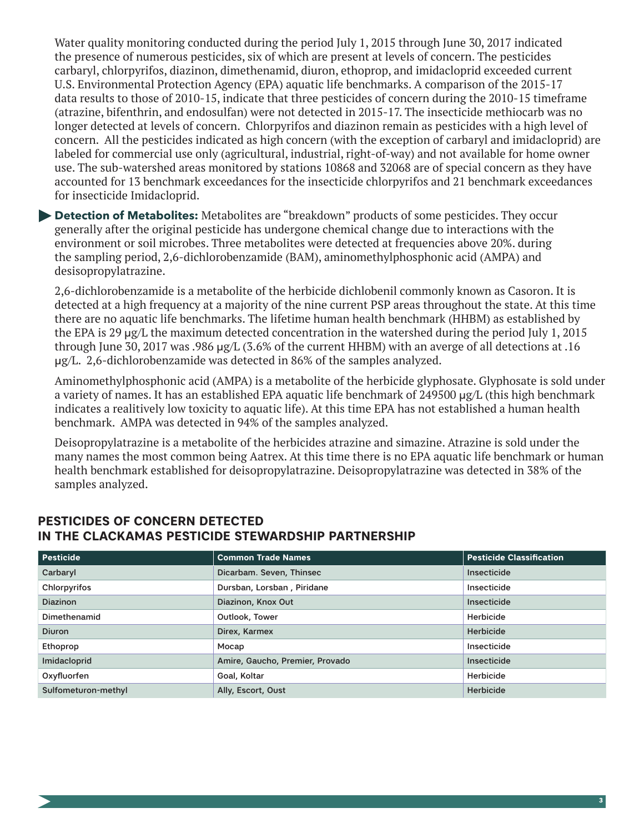Water quality monitoring conducted during the period July 1, 2015 through June 30, 2017 indicated the presence of numerous pesticides, six of which are present at levels of concern. The pesticides carbaryl, chlorpyrifos, diazinon, dimethenamid, diuron, ethoprop, and imidacloprid exceeded current U.S. Environmental Protection Agency (EPA) aquatic life benchmarks. A comparison of the 2015-17 data results to those of 2010-15, indicate that three pesticides of concern during the 2010-15 timeframe (atrazine, bifenthrin, and endosulfan) were not detected in 2015-17. The insecticide methiocarb was no longer detected at levels of concern. Chlorpyrifos and diazinon remain as pesticides with a high level of concern. All the pesticides indicated as high concern (with the exception of carbaryl and imidacloprid) are labeled for commercial use only (agricultural, industrial, right-of-way) and not available for home owner use. The sub-watershed areas monitored by stations 10868 and 32068 are of special concern as they have accounted for 13 benchmark exceedances for the insecticide chlorpyrifos and 21 benchmark exceedances for insecticide Imidacloprid.

**Detection of Metabolites:** Metabolites are "breakdown" products of some pesticides. They occur generally after the original pesticide has undergone chemical change due to interactions with the environment or soil microbes. Three metabolites were detected at frequencies above 20%. during the sampling period, 2,6-dichlorobenzamide (BAM), aminomethylphosphonic acid (AMPA) and desisopropylatrazine.

2,6-dichlorobenzamide is a metabolite of the herbicide dichlobenil commonly known as Casoron. It is detected at a high frequency at a majority of the nine current PSP areas throughout the state. At this time there are no aquatic life benchmarks. The lifetime human health benchmark (HHBM) as established by the EPA is 29 μg/L the maximum detected concentration in the watershed during the period July 1, 2015 through June 30, 2017 was .986 μg/L (3.6% of the current HHBM) with an averge of all detections at .16 μg/L. 2,6-dichlorobenzamide was detected in 86% of the samples analyzed.

Aminomethylphosphonic acid (AMPA) is a metabolite of the herbicide glyphosate. Glyphosate is sold under a variety of names. It has an established EPA aquatic life benchmark of 249500 μg/L (this high benchmark indicates a realitively low toxicity to aquatic life). At this time EPA has not established a human health benchmark. AMPA was detected in 94% of the samples analyzed.

Deisopropylatrazine is a metabolite of the herbicides atrazine and simazine. Atrazine is sold under the many names the most common being Aatrex. At this time there is no EPA aquatic life benchmark or human health benchmark established for deisopropylatrazine. Deisopropylatrazine was detected in 38% of the samples analyzed.

| <b>Pesticide</b>    | <b>Common Trade Names</b>       | <b>Pesticide Classification</b> |
|---------------------|---------------------------------|---------------------------------|
| Carbaryl            | Dicarbam. Seven, Thinsec        | Insecticide                     |
| Chlorpyrifos        | Dursban, Lorsban, Piridane      | Insecticide                     |
| <b>Diazinon</b>     | Diazinon, Knox Out              | Insecticide                     |
| Dimethenamid        | Outlook, Tower                  | Herbicide                       |
| <b>Diuron</b>       | Direx, Karmex                   | <b>Herbicide</b>                |
| Ethoprop            | Mocap                           | Insecticide                     |
| Imidacloprid        | Amire, Gaucho, Premier, Provado | <b>Insecticide</b>              |
| Oxyfluorfen         | Goal, Koltar                    | Herbicide                       |
| Sulfometuron-methyl | Ally, Escort, Oust              | Herbicide                       |

### **PESTICIDES OF CONCERN DETECTED IN THE CLACKAMAS PESTICIDE STEWARDSHIP PARTNERSHIP**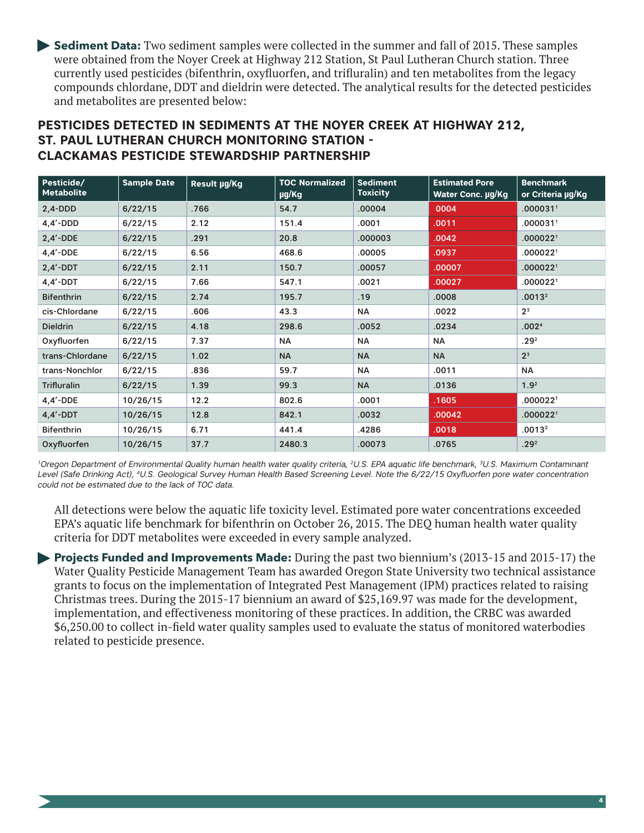**Sediment Data:** Two sediment samples were collected in the summer and fall of 2015. These samples were obtained from the Noyer Creek at Highway 212 Station, St Paul Lutheran Church station. Three currently used pesticides (bifenthrin, oxyfluorfen, and trifluralin) and ten metabolites from the legacy compounds chlordane, DDT and dieldrin were detected. The analytical results for the detected pesticides and metabolites are presented below:

# **PESTICIDES DETECTED IN SEDIMENTS AT THE NOYER CREEK AT HIGHWAY 212, ST. PAUL LUTHERAN CHURCH MONITORING STATION - CLACKAMAS PESTICIDE STEWARDSHIP PARTNERSHIP**

| Pesticide/<br><b>Metabolite</b> | <b>Sample Date</b> | Result µg/Kg | <b>TOC Normalized</b><br>µg/Kg | <b>Sediment</b><br><b>Toxicity</b> | <b>Estimated Pore</b><br>Water Conc. µg/Kg | <b>Benchmark</b><br>or Criteria µg/Kg |
|---------------------------------|--------------------|--------------|--------------------------------|------------------------------------|--------------------------------------------|---------------------------------------|
| $2,4-DDD$                       | 6/22/15            | .766         | 54.7                           | .00004                             | 0004                                       | .000031 <sup>1</sup>                  |
| $4.4'$ -DDD                     | 6/22/15            | 2.12         | 151.4                          | .0001                              | .0011                                      | .0000311                              |
| $2,4'$ -DDE                     | 6/22/15            | .291         | 20.8                           | .000003                            | .0042                                      | .000022 <sup>1</sup>                  |
| $4.4'$ -DDE                     | 6/22/15            | 6.56         | 468.6                          | .00005                             | .0937                                      | .000022 <sup>1</sup>                  |
| $2,4'$ -DDT                     | 6/22/15            | 2.11         | 150.7                          | .00057                             | .00007                                     | .000022 <sup>1</sup>                  |
| $4,4'$ -DDT                     | 6/22/15            | 7.66         | 547.1                          | .0021                              | .00027                                     | .000022 <sup>1</sup>                  |
| <b>Bifenthrin</b>               | 6/22/15            | 2.74         | 195.7                          | .19                                | .0008                                      | .0013 <sup>2</sup>                    |
| cis-Chlordane                   | 6/22/15            | .606         | 43.3                           | NA                                 | .0022                                      | 2 <sup>3</sup>                        |
| <b>Dieldrin</b>                 | 6/22/15            | 4.18         | 298.6                          | .0052                              | .0234                                      | .002 <sup>4</sup>                     |
| Oxyfluorfen                     | 6/22/15            | 7.37         | <b>NA</b>                      | <b>NA</b>                          | <b>NA</b>                                  | .29 <sup>2</sup>                      |
| trans-Chlordane                 | 6/22/15            | 1.02         | <b>NA</b>                      | <b>NA</b>                          | <b>NA</b>                                  | 2 <sup>3</sup>                        |
| trans-Nonchlor                  | 6/22/15            | .836         | 59.7                           | <b>NA</b>                          | .0011                                      | <b>NA</b>                             |
| Trifluralin                     | 6/22/15            | 1.39         | 99.3                           | <b>NA</b>                          | .0136                                      | 1.9 <sup>2</sup>                      |
| $4.4'$ -DDE                     | 10/26/15           | 12.2         | 802.6                          | .0001                              | .1605                                      | .000022 <sup>1</sup>                  |
| $4,4'$ -DDT                     | 10/26/15           | 12.8         | 842.1                          | .0032                              | .00042                                     | .000022 <sup>1</sup>                  |
| <b>Bifenthrin</b>               | 10/26/15           | 6.71         | 441.4                          | .4286                              | .0018                                      | .0013 <sup>2</sup>                    |
| Oxyfluorfen                     | 10/26/15           | 37.7         | 2480.3                         | .00073                             | .0765                                      | .29 <sup>2</sup>                      |

*1Oregon Department of Environmental Quality human health water quality criteria, 2U.S. EPA aquatic life benchmark, 3U.S. Maximum Contaminant*  Level (Safe Drinking Act), <sup>4</sup>U.S. Geological Survey Human Health Based Screening Level. Note the 6/22/15 Oxyfluorfen pore water concentration *could not be estimated due to the lack of TOC data.*

All detections were below the aquatic life toxicity level. Estimated pore water concentrations exceeded EPA's aquatic life benchmark for bifenthrin on October 26, 2015. The DEQ human health water quality criteria for DDT metabolites were exceeded in every sample analyzed.

**Projects Funded and Improvements Made:** During the past two biennium's (2013-15 and 2015-17) the Water Quality Pesticide Management Team has awarded Oregon State University two technical assistance grants to focus on the implementation of Integrated Pest Management (IPM) practices related to raising Christmas trees. During the 2015-17 biennium an award of \$25,169.97 was made for the development, implementation, and effectiveness monitoring of these practices. In addition, the CRBC was awarded \$6,250.00 to collect in-field water quality samples used to evaluate the status of monitored waterbodies related to pesticide presence.